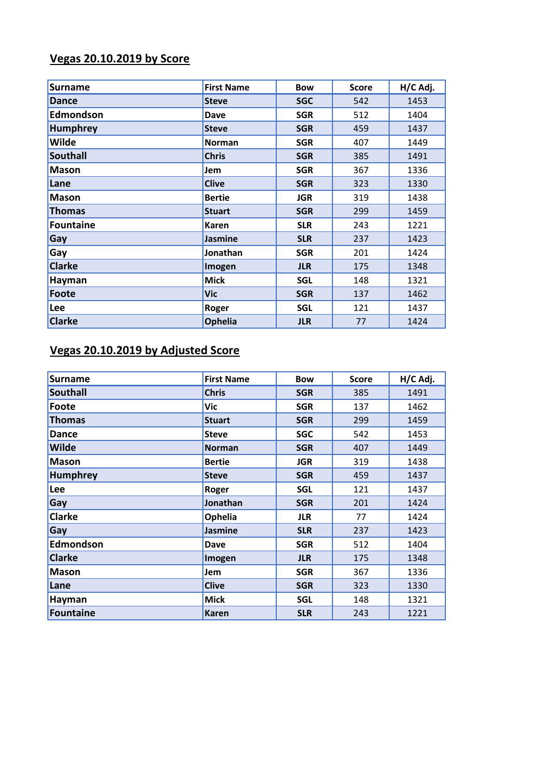## **Vegas 20.10.2019 by Score**

| <b>Surname</b> | <b>First Name</b> | <b>Bow</b> | <b>Score</b> | H/C Adj. |
|----------------|-------------------|------------|--------------|----------|
| <b>Dance</b>   | <b>Steve</b>      | <b>SGC</b> | 542          | 1453     |
| Edmondson      | Dave              | <b>SGR</b> | 512          | 1404     |
| Humphrey       | <b>Steve</b>      | <b>SGR</b> | 459          | 1437     |
| <b>Wilde</b>   | <b>Norman</b>     | <b>SGR</b> | 407          | 1449     |
| Southall       | <b>Chris</b>      | <b>SGR</b> | 385          | 1491     |
| <b>Mason</b>   | Jem               | <b>SGR</b> | 367          | 1336     |
| Lane           | <b>Clive</b>      | <b>SGR</b> | 323          | 1330     |
| <b>Mason</b>   | <b>Bertie</b>     | <b>JGR</b> | 319          | 1438     |
| <b>Thomas</b>  | <b>Stuart</b>     | <b>SGR</b> | 299          | 1459     |
| Fountaine      | Karen             | <b>SLR</b> | 243          | 1221     |
| Gay            | <b>Jasmine</b>    | <b>SLR</b> | 237          | 1423     |
| Gay            | Jonathan          | <b>SGR</b> | 201          | 1424     |
| <b>Clarke</b>  | Imogen            | <b>JLR</b> | 175          | 1348     |
| Hayman         | <b>Mick</b>       | <b>SGL</b> | 148          | 1321     |
| Foote          | <b>Vic</b>        | <b>SGR</b> | 137          | 1462     |
| Lee            | <b>Roger</b>      | <b>SGL</b> | 121          | 1437     |
| <b>Clarke</b>  | Ophelia           | <b>JLR</b> | 77           | 1424     |

### **Vegas 20.10.2019 by Adjusted Score**

| <b>Surname</b>   | <b>First Name</b> | <b>Bow</b> | <b>Score</b> | H/C Adj. |
|------------------|-------------------|------------|--------------|----------|
| <b>Southall</b>  | <b>Chris</b>      | <b>SGR</b> | 385          | 1491     |
| <b>Foote</b>     | Vic               | <b>SGR</b> | 137          | 1462     |
| <b>Thomas</b>    | <b>Stuart</b>     | <b>SGR</b> | 299          | 1459     |
| <b>Dance</b>     | <b>Steve</b>      | <b>SGC</b> | 542          | 1453     |
| <b>Wilde</b>     | <b>Norman</b>     | <b>SGR</b> | 407          | 1449     |
| <b>Mason</b>     | <b>Bertie</b>     | <b>JGR</b> | 319          | 1438     |
| <b>Humphrey</b>  | <b>Steve</b>      | <b>SGR</b> | 459          | 1437     |
| Lee              | Roger             | <b>SGL</b> | 121          | 1437     |
| Gay              | Jonathan          | <b>SGR</b> | 201          | 1424     |
| <b>Clarke</b>    | Ophelia           | <b>JLR</b> | 77           | 1424     |
| Gay              | <b>Jasmine</b>    | <b>SLR</b> | 237          | 1423     |
| <b>Edmondson</b> | Dave              | <b>SGR</b> | 512          | 1404     |
| <b>Clarke</b>    | Imogen            | <b>JLR</b> | 175          | 1348     |
| <b>Mason</b>     | Jem               | <b>SGR</b> | 367          | 1336     |
| Lane             | <b>Clive</b>      | <b>SGR</b> | 323          | 1330     |
| Hayman           | <b>Mick</b>       | <b>SGL</b> | 148          | 1321     |
| <b>Fountaine</b> | <b>Karen</b>      | <b>SLR</b> | 243          | 1221     |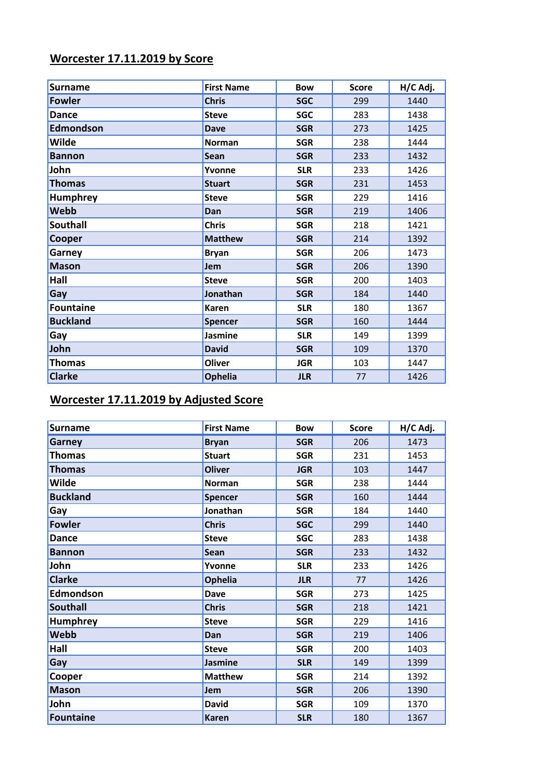### **Worcester 17.11.2019 by Score**

| <b>Surname</b>   | <b>First Name</b> | <b>Bow</b> | <b>Score</b> | H/C Adj. |
|------------------|-------------------|------------|--------------|----------|
| <b>Fowler</b>    | <b>Chris</b>      | <b>SGC</b> | 299          | 1440     |
| <b>Dance</b>     | <b>Steve</b>      | <b>SGC</b> | 283          | 1438     |
| <b>Edmondson</b> | <b>Dave</b>       | <b>SGR</b> | 273          | 1425     |
| <b>Wilde</b>     | <b>Norman</b>     | <b>SGR</b> | 238          | 1444     |
| <b>Bannon</b>    | <b>Sean</b>       | <b>SGR</b> | 233          | 1432     |
| John             | Yvonne            | <b>SLR</b> | 233          | 1426     |
| <b>Thomas</b>    | <b>Stuart</b>     | <b>SGR</b> | 231          | 1453     |
| <b>Humphrey</b>  | <b>Steve</b>      | <b>SGR</b> | 229          | 1416     |
| Webb             | Dan               | <b>SGR</b> | 219          | 1406     |
| <b>Southall</b>  | <b>Chris</b>      | <b>SGR</b> | 218          | 1421     |
| Cooper           | <b>Matthew</b>    | <b>SGR</b> | 214          | 1392     |
| Garney           | <b>Bryan</b>      | <b>SGR</b> | 206          | 1473     |
| <b>Mason</b>     | Jem               | <b>SGR</b> | 206          | 1390     |
| Hall             | <b>Steve</b>      | <b>SGR</b> | 200          | 1403     |
| Gay              | Jonathan          | <b>SGR</b> | 184          | 1440     |
| <b>Fountaine</b> | <b>Karen</b>      | <b>SLR</b> | 180          | 1367     |
| <b>Buckland</b>  | <b>Spencer</b>    | <b>SGR</b> | 160          | 1444     |
| Gay              | <b>Jasmine</b>    | <b>SLR</b> | 149          | 1399     |
| John             | <b>David</b>      | <b>SGR</b> | 109          | 1370     |
| <b>Thomas</b>    | <b>Oliver</b>     | <b>JGR</b> | 103          | 1447     |
| <b>Clarke</b>    | <b>Ophelia</b>    | <b>JLR</b> | 77           | 1426     |

## **Worcester 17.11.2019 by Adjusted Score**

| <b>Surname</b>   | <b>First Name</b> | <b>Bow</b> | <b>Score</b> | H/C Adj. |
|------------------|-------------------|------------|--------------|----------|
| <b>Garney</b>    | <b>Bryan</b>      | <b>SGR</b> | 206          | 1473     |
| <b>Thomas</b>    | <b>Stuart</b>     | <b>SGR</b> | 231          | 1453     |
| <b>Thomas</b>    | <b>Oliver</b>     | <b>JGR</b> | 103          | 1447     |
| Wilde            | Norman            | <b>SGR</b> | 238          | 1444     |
| <b>Buckland</b>  | <b>Spencer</b>    | <b>SGR</b> | 160          | 1444     |
| Gay              | Jonathan          | <b>SGR</b> | 184          | 1440     |
| <b>Fowler</b>    | <b>Chris</b>      | <b>SGC</b> | 299          | 1440     |
| <b>Dance</b>     | <b>Steve</b>      | <b>SGC</b> | 283          | 1438     |
| <b>Bannon</b>    | Sean              | <b>SGR</b> | 233          | 1432     |
| John             | Yvonne            | <b>SLR</b> | 233          | 1426     |
| <b>Clarke</b>    | <b>Ophelia</b>    | <b>JLR</b> | 77           | 1426     |
| Edmondson        | <b>Dave</b>       | <b>SGR</b> | 273          | 1425     |
| <b>Southall</b>  | <b>Chris</b>      | <b>SGR</b> | 218          | 1421     |
| <b>Humphrey</b>  | <b>Steve</b>      | <b>SGR</b> | 229          | 1416     |
| Webb             | Dan               | <b>SGR</b> | 219          | 1406     |
| Hall             | <b>Steve</b>      | <b>SGR</b> | 200          | 1403     |
| Gay              | <b>Jasmine</b>    | <b>SLR</b> | 149          | 1399     |
| Cooper           | <b>Matthew</b>    | <b>SGR</b> | 214          | 1392     |
| <b>Mason</b>     | <b>Jem</b>        | <b>SGR</b> | 206          | 1390     |
| John             | <b>David</b>      | <b>SGR</b> | 109          | 1370     |
| <b>Fountaine</b> | <b>Karen</b>      | <b>SLR</b> | 180          | 1367     |